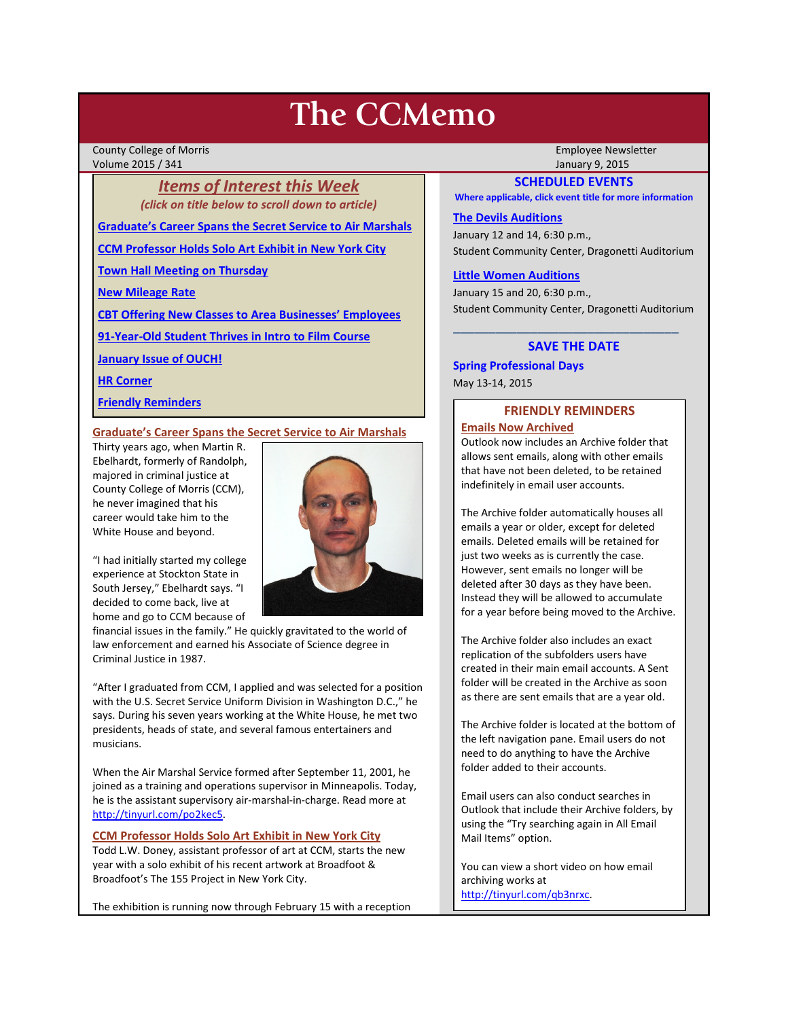# **The CCMemo**

County College of Morris Employee Newsletter Volume 2015 / 341 January 9, 2015

# *Items of Interest this Week (click on title below to scroll down to article)*

**[Graduate's Career Spans the Secret Service to Air Marshals](#page-0-0)**

**[CCM Professor Holds Solo Art Exhibit in New York City](#page-0-1)**

**[Town Hall Meeting on Thursday](#page-1-0)**

**[New Mileage Rate](#page-1-1)**

**[CBT Offering New Classes to Area Businesses' Employees](#page-1-2)**

**[91-Year-Old Student Thrives in Intro to Film Course](#page-1-3)**

**[January Issue of OUCH!](#page-2-0)**

**[HR Corner](#page-1-4)**

**[Friendly Reminders](#page-0-2)**

# <span id="page-0-0"></span>**Graduate's Career Spans the Secret Service to Air Marshals**

Thirty years ago, when Martin R. Ebelhardt, formerly of Randolph, majored in criminal justice at County College of Morris (CCM), he never imagined that his career would take him to the White House and beyond.



"I had initially started my college experience at Stockton State in South Jersey," Ebelhardt says. "I decided to come back, live at home and go to CCM because of

financial issues in the family." He quickly gravitated to the world of law enforcement and earned his Associate of Science degree in Criminal Justice in 1987.

"After I graduated from CCM, I applied and was selected for a position with the U.S. Secret Service Uniform Division in Washington D.C.," he says. During his seven years working at the White House, he met two presidents, heads of state, and several famous entertainers and musicians.

When the Air Marshal Service formed after September 11, 2001, he joined as a training and operations supervisor in Minneapolis. Today, he is the assistant supervisory air-marshal-in-charge. Read more at [http://tinyurl.com/po2kec5.](http://tinyurl.com/po2kec5)

# <span id="page-0-1"></span>**CCM Professor Holds Solo Art Exhibit in New York City**

Todd L.W. Doney, assistant professor of art at CCM, starts the new year with a solo exhibit of his recent artwork at Broadfoot & Broadfoot's The 155 Project in New York City.

The exhibition is running now through February 15 with a reception

## **SCHEDULED EVENTS**

**Where applicable, click event title for more information**

#### **[The Devils Auditions](http://www.ccm.edu/newsEvents/eventDetails.aspx?Channel=/Channels/Sitewide&WorkflowItemID=668b4101-d3b7-45c6-8614-af54796bc126)**

January 12 and 14, 6:30 p.m., Student Community Center, Dragonetti Auditorium

#### **[Little Women Auditions](http://www.ccm.edu/newsEvents/eventDetails.aspx?Channel=/Channels/Sitewide&WorkflowItemID=920eece3-9dbf-4512-bdc7-fc616dc3e1b2)**

January 15 and 20, 6:30 p.m., Student Community Center, Dragonetti Auditorium

# **SAVE THE DATE**

\_\_\_\_\_\_\_\_\_\_\_\_\_\_\_\_\_\_\_\_\_\_\_\_\_\_\_\_\_\_\_\_

**Spring Professional Days** May 13-14, 2015

# **FRIENDLY REMINDERS**

<span id="page-0-2"></span>**Emails Now Archived**  Outlook now includes an Archive folder that allows sent emails, along with other emails that have not been deleted, to be retained indefinitely in email user accounts.

The Archive folder automatically houses all emails a year or older, except for deleted emails. Deleted emails will be retained for just two weeks as is currently the case. However, sent emails no longer will be deleted after 30 days as they have been. Instead they will be allowed to accumulate for a year before being moved to the Archive.

The Archive folder also includes an exact replication of the subfolders users have created in their main email accounts. A Sent folder will be created in the Archive as soon as there are sent emails that are a year old.

The Archive folder is located at the bottom of the left navigation pane. Email users do not need to do anything to have the Archive folder added to their accounts.

Email users can also conduct searches in Outlook that include their Archive folders, by using the "Try searching again in All Email Mail Items" option.

You can view a short video on how email archiving works at [http://tinyurl.com/qb3nrxc.](http://tinyurl.com/qb3nrxc)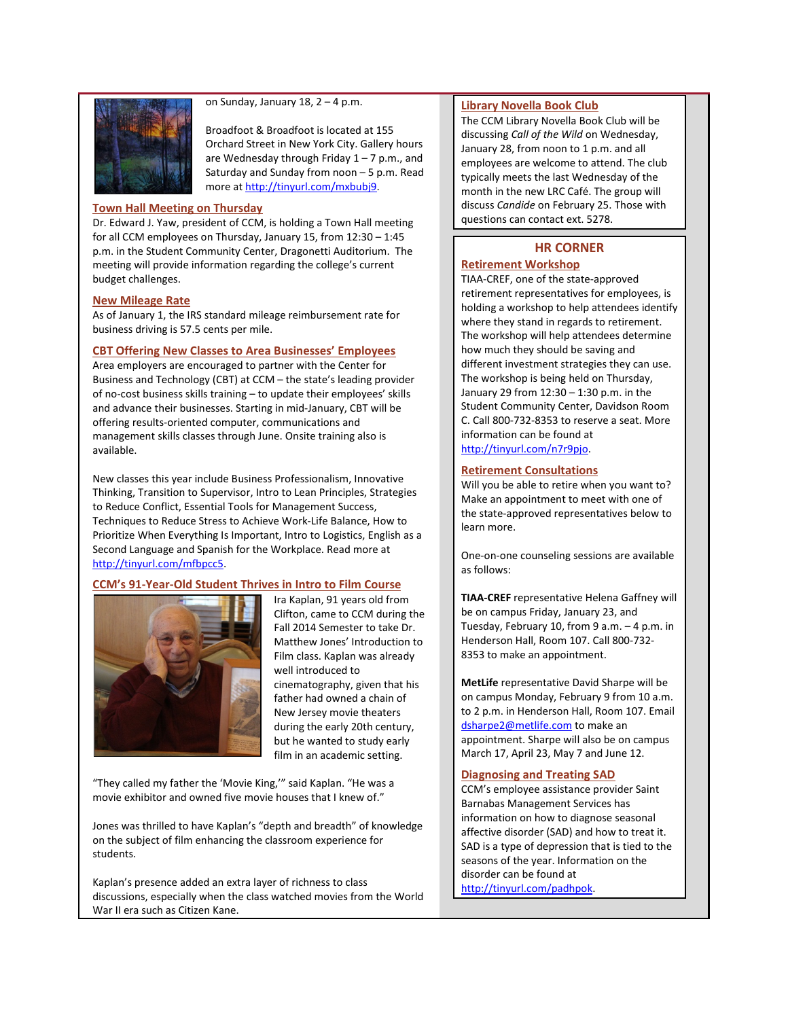

on Sunday, January 18,  $2 - 4$  p.m.

Broadfoot & Broadfoot is located at 155 Orchard Street in New York City. Gallery hours are Wednesday through Friday  $1 - 7$  p.m., and Saturday and Sunday from noon – 5 p.m. Read more a[t http://tinyurl.com/mxbubj9.](http://tinyurl.com/mxbubj9)

#### <span id="page-1-0"></span>**Town Hall Meeting on Thursday**

Dr. Edward J. Yaw, president of CCM, is holding a Town Hall meeting for all CCM employees on Thursday, January 15, from 12:30 – 1:45 p.m. in the Student Community Center, Dragonetti Auditorium. The meeting will provide information regarding the college's current budget challenges.

#### <span id="page-1-1"></span>**New Mileage Rate**

As of January 1, the IRS standard mileage reimbursement rate for business driving is 57.5 cents per mile.

#### <span id="page-1-2"></span>**CBT Offering New Classes to Area Businesses' Employees**

Area employers are encouraged to partner with the Center for Business and Technology (CBT) at CCM – the state's leading provider of no-cost business skills training – to update their employees' skills and advance their businesses. Starting in mid-January, CBT will be offering results-oriented computer, communications and management skills classes through June. Onsite training also is available.

New classes this year include Business Professionalism, Innovative Thinking, Transition to Supervisor, Intro to Lean Principles, Strategies to Reduce Conflict, Essential Tools for Management Success, Techniques to Reduce Stress to Achieve Work-Life Balance, How to Prioritize When Everything Is Important, Intro to Logistics, English as a Second Language and Spanish for the Workplace. Read more at [http://tinyurl.com/mfbpcc5.](http://tinyurl.com/mfbpcc5)

#### <span id="page-1-3"></span>**CCM's 91-Year-Old Student Thrives in Intro to Film Course**



Ira Kaplan, 91 years old from Clifton, came to CCM during the Fall 2014 Semester to take Dr. Matthew Jones' Introduction to Film class. Kaplan was already well introduced to cinematography, given that his father had owned a chain of New Jersey movie theaters during the early 20th century, but he wanted to study early film in an academic setting.

"They called my father the 'Movie King,'" said Kaplan. "He was a movie exhibitor and owned five movie houses that I knew of."

Jones was thrilled to have Kaplan's "depth and breadth" of knowledge on the subject of film enhancing the classroom experience for students.

Kaplan's presence added an extra layer of richness to class discussions, especially when the class watched movies from the World War II era such as Citizen Kane.

#### **Library Novella Book Club**

The CCM Library Novella Book Club will be discussing *Call of the Wild* on Wednesday, January 28, from noon to 1 p.m. and all employees are welcome to attend. The club typically meets the last Wednesday of the month in the new LRC Café. The group will discuss *Candide* on February 25. Those with questions can contact ext. 5278.

# **HR CORNER**

# <span id="page-1-4"></span>**Retirement Workshop**

TIAA-CREF, one of the state-approved retirement representatives for employees, is holding a workshop to help attendees identify where they stand in regards to retirement. The workshop will help attendees determine how much they should be saving and different investment strategies they can use. The workshop is being held on Thursday, January 29 from 12:30 – 1:30 p.m. in the Student Community Center, Davidson Room C. Call 800-732-8353 to reserve a seat. More information can be found at [http://tinyurl.com/n7r9pjo.](http://tinyurl.com/n7r9pjo)

#### **Retirement Consultations**

Will you be able to retire when you want to? Make an appointment to meet with one of the state-approved representatives below to learn more.

One-on-one counseling sessions are available as follows:

**TIAA-CREF** representative Helena Gaffney will be on campus Friday, January 23, and Tuesday, February 10, from 9 a.m. – 4 p.m. in Henderson Hall, Room 107. Call 800-732- 8353 to make an appointment.

**MetLife** representative David Sharpe will be on campus Monday, February 9 from 10 a.m. to 2 p.m. in Henderson Hall, Room 107. Email [dsharpe2@metlife.com](mailto:dsharpe2@metlife.com) to make an appointment. Sharpe will also be on campus March 17, April 23, May 7 and June 12.

#### **Diagnosing and Treating SAD**

CCM's employee assistance provider Saint Barnabas Management Services has information on how to diagnose seasonal affective disorder (SAD) and how to treat it. SAD is a type of depression that is tied to the seasons of the year. Information on the disorder can be found at

[http://tinyurl.com/padhpok.](http://tinyurl.com/padhpok)